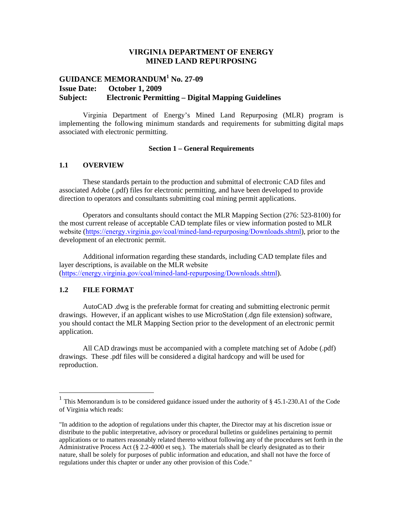## **VIRGINIA DEPARTMENT OF ENERGY MINED LAND REPURPOSING**

# **GUIDANCE MEMORANDUM<sup>1</sup> No. 27-09 Issue Date: October 1, 2009 Subject: Electronic Permitting – Digital Mapping Guidelines**

Virginia Department of Energy's Mined Land Repurposing (MLR) program is implementing the following minimum standards and requirements for submitting digital maps associated with electronic permitting.

## **Section 1 – General Requirements**

#### **1.1 OVERVIEW**

These standards pertain to the production and submittal of electronic CAD files and associated Adobe (.pdf) files for electronic permitting, and have been developed to provide direction to operators and consultants submitting coal mining permit applications.

Operators and consultants should contact the MLR Mapping Section (276: 523-8100) for the most current release of acceptable CAD template files or view information posted to MLR website (https://energy.virginia.gov/coal/mined-land-repurposing/Downloads.shtml), prior to the development of an electronic permit.

Additional information regarding these standards, including CAD template files and layer descriptions, is available on the MLR website (https://energy.virginia.gov/coal/mined-land-repurposing/Downloads.shtml).

## **1.2 FILE FORMAT**

AutoCAD .dwg is the preferable format for creating and submitting electronic permit drawings. However, if an applicant wishes to use MicroStation (.dgn file extension) software, you should contact the MLR Mapping Section prior to the development of an electronic permit application.

All CAD drawings must be accompanied with a complete matching set of Adobe (.pdf) drawings. These .pdf files will be considered a digital hardcopy and will be used for reproduction.

<sup>&</sup>lt;sup>1</sup> This Memorandum is to be considered guidance issued under the authority of  $\S$  45.1-230.A1 of the Code of Virginia which reads:

<sup>&</sup>quot;In addition to the adoption of regulations under this chapter, the Director may at his discretion issue or distribute to the public interpretative, advisory or procedural bulletins or guidelines pertaining to permit applications or to matters reasonably related thereto without following any of the procedures set forth in the Administrative Process Act (§ 2.2-4000 et seq.). The materials shall be clearly designated as to their nature, shall be solely for purposes of public information and education, and shall not have the force of regulations under this chapter or under any other provision of this Code."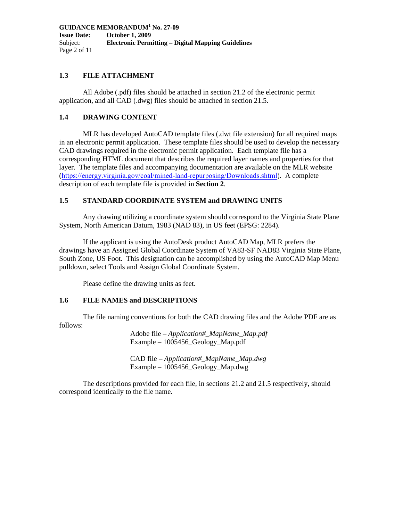**GUIDANCE MEMORANDUM<sup>1</sup> No. 27-09 Issue Date: October 1, 2009**  Subject: **Electronic Permitting – Digital Mapping Guidelines**  Page 2 of 11

## **1.3 FILE ATTACHMENT**

All Adobe (.pdf) files should be attached in section 21.2 of the electronic permit application, and all CAD (.dwg) files should be attached in section 21.5.

## **1.4 DRAWING CONTENT**

MLR has developed AutoCAD template files (.dwt file extension) for all required maps in an electronic permit application. These template files should be used to develop the necessary CAD drawings required in the electronic permit application. Each template file has a corresponding HTML document that describes the required layer names and properties for that layer. The template files and accompanying documentation are available on the MLR website (https://energy.virginia.gov/coal/mined-land-repurposing/Downloads.shtml). A complete description of each template file is provided in **Section 2**.

# **1.5 STANDARD COORDINATE SYSTEM and DRAWING UNITS**

Any drawing utilizing a coordinate system should correspond to the Virginia State Plane System, North American Datum, 1983 (NAD 83), in US feet (EPSG: 2284).

If the applicant is using the AutoDesk product AutoCAD Map, MLR prefers the drawings have an Assigned Global Coordinate System of VA83-SF NAD83 Virginia State Plane, South Zone, US Foot. This designation can be accomplished by using the AutoCAD Map Menu pulldown, select Tools and Assign Global Coordinate System.

Please define the drawing units as feet.

# **1.6 FILE NAMES and DESCRIPTIONS**

The file naming conventions for both the CAD drawing files and the Adobe PDF are as follows:

> Adobe file – *Application#\_MapName\_Map.pdf*  Example – 1005456\_Geology\_Map.pdf

CAD file – *Application#\_MapName\_Map.dwg*  Example – 1005456\_Geology\_Map.dwg

The descriptions provided for each file, in sections 21.2 and 21.5 respectively, should correspond identically to the file name.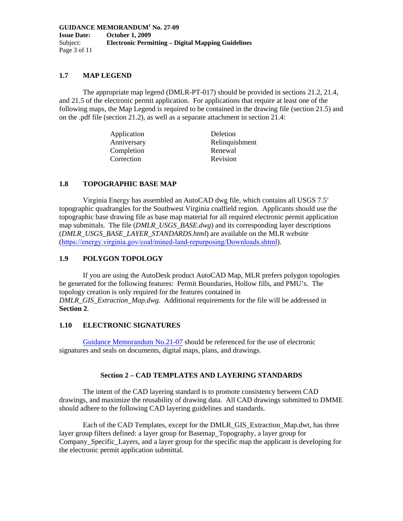**GUIDANCE MEMORANDUM<sup>1</sup> No. 27-09 Issue Date: October 1, 2009**  Subject: **Electronic Permitting – Digital Mapping Guidelines**  Page 3 of 11

## **1.7 MAP LEGEND**

The appropriate map legend (DMLR-PT-017) should be provided in sections 21.2, 21.4, and 21.5 of the electronic permit application. For applications that require at least one of the following maps, the Map Legend is required to be contained in the drawing file (section 21.5) and on the .pdf file (section 21.2), as well as a separate attachment in section 21.4:

| Deletion       |
|----------------|
| Relinquishment |
| Renewal        |
| Revision       |
|                |

#### **1.8 TOPOGRAPHIC BASE MAP**

Virginia Energy has assembled an AutoCAD dwg file, which contains all USGS 7.5' topographic quadrangles for the Southwest Virginia coalfield region. Applicants should use the topographic base drawing file as base map material for all required electronic permit application map submittals. The file (*DMLR\_USGS\_BASE.dwg*) and its corresponding layer descriptions (*DMLR\_USGS\_BASE\_LAYER\_STANDARDS.html*) are available on the MLR website (https://energy.virginia.gov/coal/mined-land-repurposing/Downloads.shtml).

#### **1.9 POLYGON TOPOLOGY**

If you are using the AutoDesk product AutoCAD Map, MLR prefers polygon topologies be generated for the following features: Permit Boundaries, Hollow fills, and PMU's. The topology creation is only required for the features contained in *DMLR\_GIS\_Extraction\_Map.dwg.* Additional requirements for the file will be addressed in **Section 2**.

#### **1.10 ELECTRONIC SIGNATURES**

Guidance Memorandum No.21-07 should be referenced for the use of electronic signatures and seals on documents, digital maps, plans, and drawings.

#### **Section 2 – CAD TEMPLATES AND LAYERING STANDARDS**

The intent of the CAD layering standard is to promote consistency between CAD drawings, and maximize the reusability of drawing data. All CAD drawings submitted to DMME should adhere to the following CAD layering guidelines and standards.

Each of the CAD Templates, except for the DMLR\_GIS\_Extraction\_Map.dwt, has three layer group filters defined: a layer group for Basemap\_Topography, a layer group for Company\_Specific\_Layers, and a layer group for the specific map the applicant is developing for the electronic permit application submittal.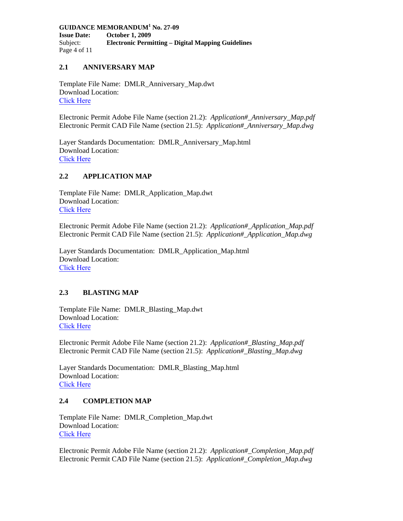**GUIDANCE MEMORANDUM<sup>1</sup> No. 27-09 Issue Date: October 1, 2009**  Subject: **Electronic Permitting – Digital Mapping Guidelines**  Page 4 of 11

# **2.1 ANNIVERSARY MAP**

Template File Name: DMLR\_Anniversary\_Map.dwt Download Location: [Click Here](https://energy.virginia.gov/coal/mined-land-repurposing/documents/Mapping/DWG-Templates/DMLR_Anniversary_Map.zip)

Electronic Permit Adobe File Name (section 21.2): *Application#\_Anniversary\_Map.pdf* Electronic Permit CAD File Name (section 21.5): *Application#\_Anniversary\_Map.dwg* 

Layer Standards Documentation: DMLR\_Anniversary\_Map.html Download Location: [Click Here](https://energy.virginia.gov/coal/mined-land-repurposing/documents/Mapping/CAD-Standards/DMLR_AnniversaryMap_Layer_Standards.htm)

## **2.2 APPLICATION MAP**

Template File Name: DMLR\_Application\_Map.dwt Download Location: [Click Here](https://energy.virginia.gov/coal/mined-land-repurposing/documents/Mapping/DWG-Templates/DMLR_Application_Map.zip)

Electronic Permit Adobe File Name (section 21.2): *Application#\_Application\_Map.pdf*  Electronic Permit CAD File Name (section 21.5): *Application#\_Application\_Map.dwg* 

Layer Standards Documentation: DMLR\_Application\_Map.html Download Location: [Click Here](https://energy.virginia.gov/coal/mined-land-repurposing/documents/Mapping/CAD-Standards/DMLR_ApplicationMap_Layer_Standards.htm)

## **2.3 BLASTING MAP**

Template File Name: DMLR\_Blasting\_Map.dwt Download Location: [Click Here](https://energy.virginia.gov/coal/mined-land-repurposing/documents/Mapping/DWG-Templates/DMLR_Blasting_Map.zip)

Electronic Permit Adobe File Name (section 21.2): *Application#\_Blasting\_Map.pdf*  Electronic Permit CAD File Name (section 21.5): *Application#\_Blasting\_Map.dwg* 

Layer Standards Documentation: DMLR\_Blasting\_Map.html Download Location: [Click Here](https://energy.virginia.gov/coal/mined-land-repurposing/documents/Mapping/CAD-Standards/DMLR_BlastingMap_LayerStandards.htm)

# **2.4 COMPLETION MAP**

Template File Name: DMLR\_Completion\_Map.dwt Download Location: [Click Here](https://energy.virginia.gov/coal/mined-land-repurposing/documents/Mapping/DWG-Templates/DMLR_Completion_Map.zip)

Electronic Permit Adobe File Name (section 21.2): *Application#\_Completion\_Map.pdf*  Electronic Permit CAD File Name (section 21.5): *Application#\_Completion\_Map.dwg*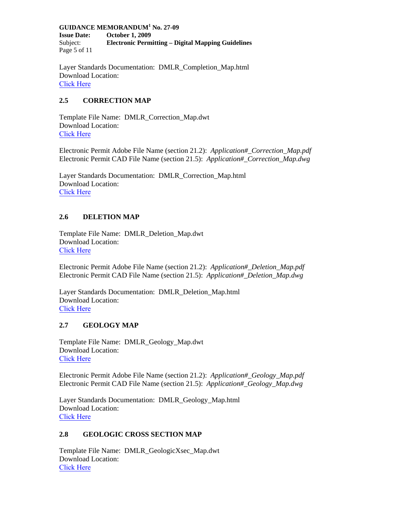**GUIDANCE MEMORANDUM<sup>1</sup> No. 27-09 Issue Date: October 1, 2009**  Subject: **Electronic Permitting – Digital Mapping Guidelines**  Page 5 of 11

Layer Standards Documentation: DMLR\_Completion\_Map.html Download Location: [Click Here](https://energy.virginia.gov/coal/mined-land-repurposing/documents/Mapping/CAD-Standards/DMLR_Completion_Map.htm)

# **2.5 CORRECTION MAP**

Template File Name: DMLR\_Correction\_Map.dwt Download Location: [Click Here](https://energy.virginia.gov/coal/mined-land-repurposing/Downloads.shtml)

Electronic Permit Adobe File Name (section 21.2): *Application#\_Correction\_Map.pdf*  Electronic Permit CAD File Name (section 21.5): *Application#\_Correction\_Map.dwg* 

Layer Standards Documentation: DMLR\_Correction\_Map.html Download Location: [Click Here](https://energy.virginia.gov/coal/mined-land-repurposing/Downloads.shtml)

# **2.6 DELETION MAP**

Template File Name: DMLR\_Deletion\_Map.dwt Download Location: [Click Here](https://energy.virginia.gov/coal/mined-land-repurposing/documents/Mapping/DWG-Templates/DMLR_Deletion_Map.zip)

Electronic Permit Adobe File Name (section 21.2): *Application#\_Deletion\_Map.pdf*  Electronic Permit CAD File Name (section 21.5): *Application#\_Deletion\_Map.dwg*

Layer Standards Documentation: DMLR\_Deletion\_Map.html Download Location: [Click Here](https://energy.virginia.gov/coal/mined-land-repurposing/documents/Mapping/CAD-Standards/DMLR_DeletionMap_Layer_Standards.htm)

## **2.7 GEOLOGY MAP**

Template File Name: DMLR\_Geology\_Map.dwt Download Location: [Click Here](https://energy.virginia.gov/coal/mined-land-repurposing/documents/Mapping/DWG-Templates/DMLR_Geology_Map.zip)

Electronic Permit Adobe File Name (section 21.2): *Application#\_Geology\_Map.pdf*  Electronic Permit CAD File Name (section 21.5): *Application#\_Geology\_Map.dwg* 

Layer Standards Documentation: DMLR\_Geology\_Map.html Download Location: [Click Here](https://energy.virginia.gov/coal/mined-land-repurposing/documents/Mapping/CAD-Standards/DMLR_GeologyMap_Layer_Standards.htm)

## **2.8 GEOLOGIC CROSS SECTION MAP**

Template File Name: DMLR\_GeologicXsec\_Map.dwt Download Location: [Click Here](https://energy.virginia.gov/coal/mined-land-repurposing/documents/Mapping/DWG-Templates/DMLR_GeologicXsec_Map.zip)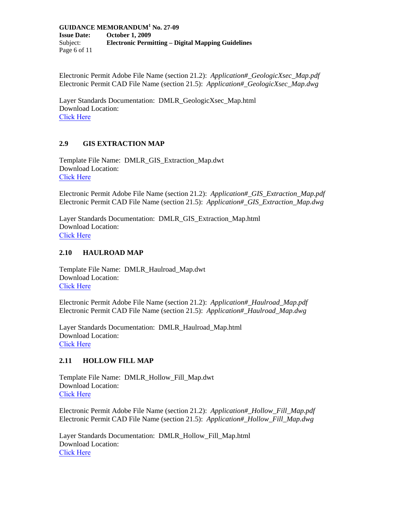**GUIDANCE MEMORANDUM<sup>1</sup> No. 27-09 Issue Date: October 1, 2009**  Subject: **Electronic Permitting – Digital Mapping Guidelines**  Page 6 of 11

Electronic Permit Adobe File Name (section 21.2): *Application#\_GeologicXsec\_Map.pdf*  Electronic Permit CAD File Name (section 21.5): *Application#\_GeologicXsec\_Map.dwg* 

Layer Standards Documentation: DMLR\_GeologicXsec\_Map.html Download Location: [Click Here](https://energy.virginia.gov/coal/mined-land-repurposing/documents/Mapping/CAD-Standards/DMLR_GeologicXsec_Map_Layer_Standards.htm)

# **2.9 GIS EXTRACTION MAP**

Template File Name: DMLR\_GIS\_Extraction\_Map.dwt Download Location: [Click Here](https://energy.virginia.gov/coal/mined-land-repurposing/documents/Mapping/DWG-Templates/DMLR_GIS_Extraction_Map.zip)

Electronic Permit Adobe File Name (section 21.2): *Application#\_GIS\_Extraction\_Map.pdf*  Electronic Permit CAD File Name (section 21.5): *Application#\_GIS\_Extraction\_Map.dwg* 

Layer Standards Documentation: DMLR\_GIS\_Extraction\_Map.html Download Location: [Click Here](https://energy.virginia.gov/coal/mined-land-repurposing/documents/Mapping/CAD-Standards/DMLR_GISMap_Layer_Standards.htm)

## **2.10 HAULROAD MAP**

Template File Name: DMLR\_Haulroad\_Map.dwt Download Location: [Click Here](https://energy.virginia.gov/coal/mined-land-repurposing/documents/Mapping/DWG-Templates/DMLR_Haulroad_Map.zip)

Electronic Permit Adobe File Name (section 21.2): *Application#\_Haulroad\_Map.pdf*  Electronic Permit CAD File Name (section 21.5): *Application#\_Haulroad\_Map.dwg* 

Layer Standards Documentation: DMLR\_Haulroad\_Map.html Download Location: [Click Here](https://energy.virginia.gov/coal/mined-land-repurposing/documents/Mapping/CAD-Standards/DMLR_HaulroadMap_Layer_Standards.htm)

## **2.11 HOLLOW FILL MAP**

Template File Name: DMLR\_Hollow\_Fill\_Map.dwt Download Location: [Click Here](https://energy.virginia.gov/coal/mined-land-repurposing/Downloads.shtml)

Electronic Permit Adobe File Name (section 21.2): *Application#\_Hollow\_Fill\_Map.pdf*  Electronic Permit CAD File Name (section 21.5): *Application#\_Hollow\_Fill\_Map.dwg* 

Layer Standards Documentation: DMLR\_Hollow\_Fill\_Map.html Download Location: [Click Here](https://energy.virginia.gov/coal/mined-land-repurposing/Downloads.shtml)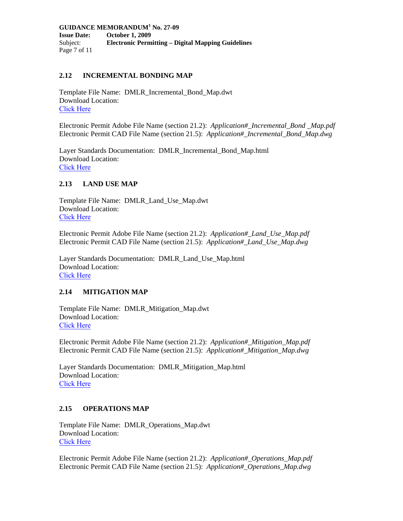**GUIDANCE MEMORANDUM<sup>1</sup> No. 27-09 Issue Date: October 1, 2009**  Subject: **Electronic Permitting – Digital Mapping Guidelines**  Page 7 of 11

#### **2.12 INCREMENTAL BONDING MAP**

Template File Name: DMLR\_Incremental\_Bond\_Map.dwt Download Location: [Click Here](https://energy.virginia.gov/coal/mined-land-repurposing/Downloads.shtml)

Electronic Permit Adobe File Name (section 21.2): *Application#\_Incremental\_Bond \_Map.pdf*  Electronic Permit CAD File Name (section 21.5): *Application#\_Incremental\_Bond\_Map.dwg*

Layer Standards Documentation: DMLR\_Incremental\_Bond\_Map.html Download Location: [Click Here](https://energy.virginia.gov/coal/mined-land-repurposing/Downloads.shtml)

#### **2.13 LAND USE MAP**

Template File Name: DMLR\_Land\_Use\_Map.dwt Download Location: [Click Here](https://energy.virginia.gov/coal/mined-land-repurposing/Downloads.shtml)

Electronic Permit Adobe File Name (section 21.2): *Application#\_Land\_Use\_Map.pdf*  Electronic Permit CAD File Name (section 21.5): *Application#\_Land\_Use\_Map.dwg* 

Layer Standards Documentation: DMLR\_Land\_Use\_Map.html Download Location: [Click Here](https://energy.virginia.gov/coal/mined-land-repurposing/Downloads.shtml)

#### **2.14 MITIGATION MAP**

Template File Name: DMLR\_Mitigation\_Map.dwt Download Location: [Click Here](https://energy.virginia.gov/coal/mined-land-repurposing/Downloads.shtml)

Electronic Permit Adobe File Name (section 21.2): *Application#\_Mitigation\_Map.pdf*  Electronic Permit CAD File Name (section 21.5): *Application#\_Mitigation\_Map.dwg*

Layer Standards Documentation: DMLR\_Mitigation\_Map.html Download Location: [Click Here](https://energy.virginia.gov/coal/mined-land-repurposing/Downloads.shtml)

## **2.15 OPERATIONS MAP**

Template File Name: DMLR\_Operations\_Map.dwt Download Location: [Click Here](https://energy.virginia.gov/coal/mined-land-repurposing/Downloads.shtml)

Electronic Permit Adobe File Name (section 21.2): *Application#\_Operations\_Map.pdf*  Electronic Permit CAD File Name (section 21.5): *Application#\_Operations\_Map.dwg*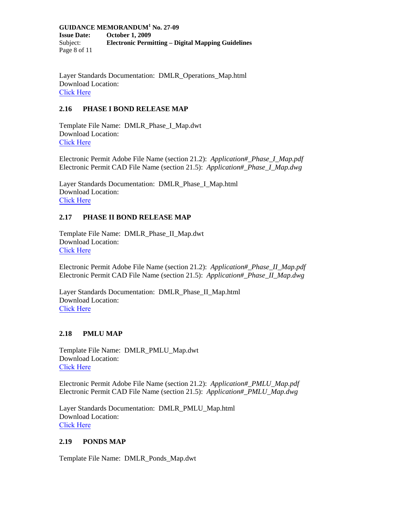**GUIDANCE MEMORANDUM<sup>1</sup> No. 27-09 Issue Date: October 1, 2009**  Subject: **Electronic Permitting – Digital Mapping Guidelines**  Page 8 of 11

Layer Standards Documentation: DMLR\_Operations\_Map.html Download Location: [Click Here](https://energy.virginia.gov/coal/mined-land-repurposing/Downloads.shtml)

# **2.16 PHASE I BOND RELEASE MAP**

Template File Name: DMLR\_Phase\_I\_Map.dwt Download Location: [Click Here](https://energy.virginia.gov/coal/mined-land-repurposing/documents/Mapping/DWG-Templates/DMLR_Phase_I_Map.zip)

Electronic Permit Adobe File Name (section 21.2): *Application#\_Phase\_I\_Map.pdf*  Electronic Permit CAD File Name (section 21.5): *Application#\_Phase\_I\_Map.dwg* 

Layer Standards Documentation: DMLR\_Phase\_I\_Map.html Download Location: [Click Here](https://energy.virginia.gov/coal/mined-land-repurposing/documents/Mapping/CAD-Standards/DMLR_Phase_I_Map_Layer_Standards.htm)

# **2.17 PHASE II BOND RELEASE MAP**

Template File Name: DMLR\_Phase\_II\_Map.dwt Download Location: [Click Here](https://energy.virginia.gov/coal/mined-land-repurposing/Downloads.shtml)

Electronic Permit Adobe File Name (section 21.2): *Application#\_Phase\_II\_Map.pdf*  Electronic Permit CAD File Name (section 21.5): *Application#\_Phase\_II\_Map.dwg* 

Layer Standards Documentation: DMLR\_Phase\_II\_Map.html Download Location: [Click Here](https://energy.virginia.gov/coal/mined-land-repurposing/Downloads.shtml)

## **2.18 PMLU MAP**

Template File Name: DMLR\_PMLU\_Map.dwt Download Location: [Click Here](https://energy.virginia.gov/coal/mined-land-repurposing/documents/Mapping/DWG-Templates/DMLR_PMLU_Map.zip)

Electronic Permit Adobe File Name (section 21.2): *Application#\_PMLU\_Map.pdf*  Electronic Permit CAD File Name (section 21.5): *Application#\_PMLU\_Map.dwg* 

Layer Standards Documentation: DMLR\_PMLU\_Map.html Download Location: [Click Here](https://energy.virginia.gov/coal/mined-land-repurposing/documents/Mapping/CAD-Standards/DMLR_PMLUMap_Layer_Standards.htm)

# **2.19 PONDS MAP**

Template File Name: DMLR\_Ponds\_Map.dwt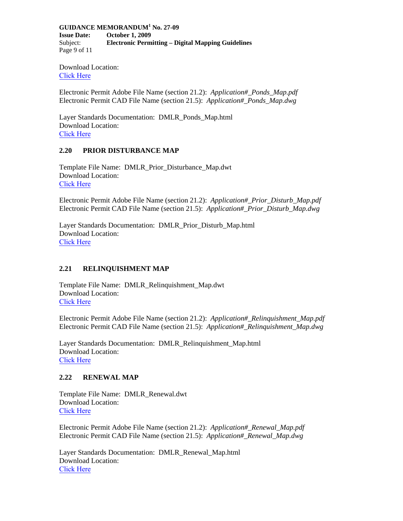#### **GUIDANCE MEMORANDUM<sup>1</sup> No. 27-09**

**Issue Date: October 1, 2009**  Subject: **Electronic Permitting – Digital Mapping Guidelines**  Page 9 of 11

Download Location: [Click Here](https://energy.virginia.gov/coal/mined-land-repurposing/Downloads.shtml)

Electronic Permit Adobe File Name (section 21.2): *Application#\_Ponds\_Map.pdf*  Electronic Permit CAD File Name (section 21.5): *Application#\_Ponds\_Map.dwg* 

Layer Standards Documentation: DMLR\_Ponds\_Map.html Download Location: [Click Here](https://energy.virginia.gov/coal/mined-land-repurposing/Downloads.shtml)

## **2.20 PRIOR DISTURBANCE MAP**

Template File Name: DMLR\_Prior\_Disturbance\_Map.dwt Download Location: [Click Here](https://energy.virginia.gov/coal/mined-land-repurposing/Downloads.shtml)

Electronic Permit Adobe File Name (section 21.2): *Application#\_Prior\_Disturb\_Map.pdf*  Electronic Permit CAD File Name (section 21.5): *Application#\_Prior\_Disturb\_Map.dwg* 

Layer Standards Documentation: DMLR\_Prior\_Disturb\_Map.html Download Location: [Click Here](https://energy.virginia.gov/coal/mined-land-repurposing/Downloads.shtml)

## **2.21 RELINQUISHMENT MAP**

Template File Name: DMLR\_Relinquishment\_Map.dwt Download Location: [Click Here](https://energy.virginia.gov/coal/mined-land-repurposing/documents/Mapping/DWG-Templates/DMLR_Relinquishment_Map.zip)

Electronic Permit Adobe File Name (section 21.2): *Application#\_Relinquishment\_Map.pdf*  Electronic Permit CAD File Name (section 21.5): *Application#\_Relinquishment\_Map.dwg* 

Layer Standards Documentation: DMLR\_Relinquishment\_Map.html Download Location: [Click Here](https://energy.virginia.gov/coal/mined-land-repurposing/documents/Mapping/CAD-Standards/DMLR_RelinquishmentMap_Layer_Standards.htm)

#### **2.22 RENEWAL MAP**

Template File Name: DMLR\_Renewal.dwt Download Location: [Click Here](https://energy.virginia.gov/coal/mined-land-repurposing/documents/Mapping/DWG-Templates/DMLR_Renewal_Map.zip)

Electronic Permit Adobe File Name (section 21.2): *Application#\_Renewal\_Map.pdf*  Electronic Permit CAD File Name (section 21.5): *Application#\_Renewal\_Map.dwg* 

Layer Standards Documentation: DMLR\_Renewal\_Map.html Download Location: [Click Here](https://energy.virginia.gov/coal/mined-land-repurposing/documents/Mapping/CAD-Standards/DMLR_RenewalMap_Layer_Standards.htm)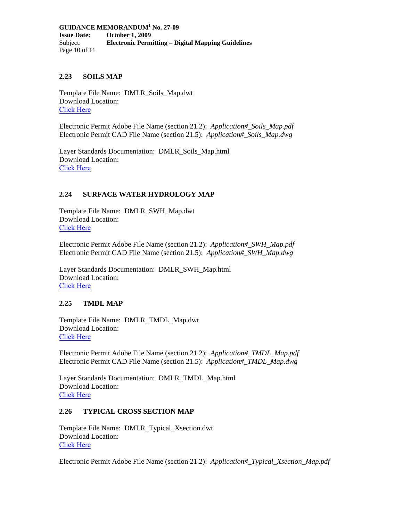#### **GUIDANCE MEMORANDUM<sup>1</sup> No. 27-09 Issue Date: October 1, 2009**  Subject: **Electronic Permitting – Digital Mapping Guidelines**  Page 10 of 11

## **2.23 SOILS MAP**

Template File Name: DMLR\_Soils\_Map.dwt Download Location: [Click Here](https://energy.virginia.gov/coal/mined-land-repurposing/Downloads.shtml)

Electronic Permit Adobe File Name (section 21.2): *Application#\_Soils\_Map.pdf* Electronic Permit CAD File Name (section 21.5): *Application#\_Soils\_Map.dwg*

Layer Standards Documentation: DMLR\_Soils\_Map.html Download Location: [Click Here](https://energy.virginia.gov/coal/mined-land-repurposing/Downloads.shtml)

## **2.24 SURFACE WATER HYDROLOGY MAP**

Template File Name: DMLR\_SWH\_Map.dwt Download Location: [Click Here](https://energy.virginia.gov/coal/mined-land-repurposing/documents/Mapping/DWG-Templates/DMLR_Surface_Water_Hydrology_Map.zip)

Electronic Permit Adobe File Name (section 21.2): *Application#\_SWH\_Map.pdf*  Electronic Permit CAD File Name (section 21.5): *Application#\_SWH\_Map.dwg* 

Layer Standards Documentation: DMLR\_SWH\_Map.html Download Location: [Click Here](https://energy.virginia.gov/coal/mined-land-repurposing/documents/Mapping/CAD-Standards/DMLR_SurfaceWaterHydrologyMap_Layer_Standards.htm)

## **2.25 TMDL MAP**

Template File Name: DMLR\_TMDL\_Map.dwt Download Location: [Click Here](https://energy.virginia.gov/coal/mined-land-repurposing/Downloads.shtml)

Electronic Permit Adobe File Name (section 21.2): *Application#\_TMDL\_Map.pdf*  Electronic Permit CAD File Name (section 21.5): *Application#\_TMDL\_Map.dwg*

Layer Standards Documentation: DMLR\_TMDL\_Map.html Download Location: [Click Here](https://energy.virginia.gov/coal/mined-land-repurposing/Downloads.shtml)

#### **2.26 TYPICAL CROSS SECTION MAP**

Template File Name: DMLR\_Typical\_Xsection.dwt Download Location: [Click Here](https://energy.virginia.gov/coal/mined-land-repurposing/Downloads.shtml)

Electronic Permit Adobe File Name (section 21.2): *Application#\_Typical\_Xsection\_Map.pdf*